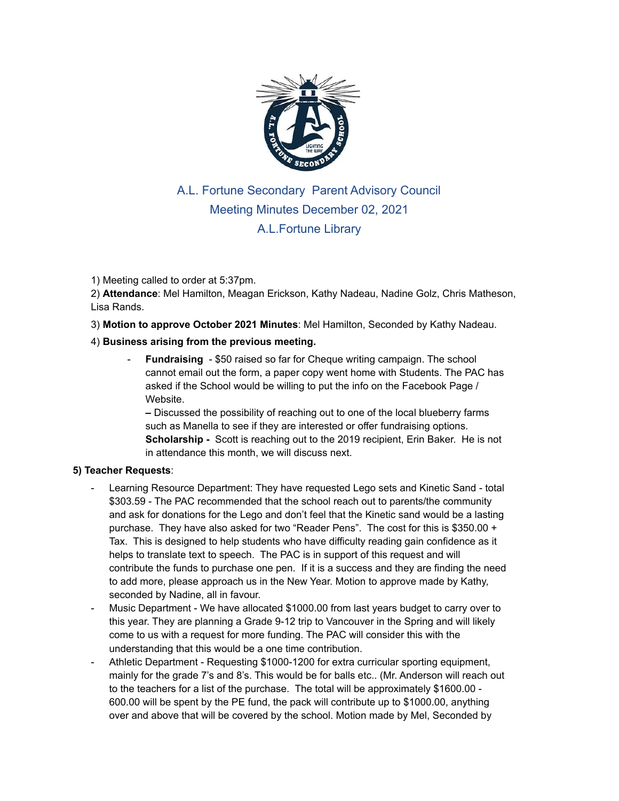

## A.L. Fortune Secondary Parent Advisory Council Meeting Minutes December 02, 2021 A.L.Fortune Library

## 1) Meeting called to order at 5:37pm.

2) **Attendance**: Mel Hamilton, Meagan Erickson, Kathy Nadeau, Nadine Golz, Chris Matheson, Lisa Rands.

3) **Motion to approve October 2021 Minutes**: Mel Hamilton, Seconded by Kathy Nadeau.

## 4) **Business arising from the previous meeting.**

**Fundraising** - \$50 raised so far for Cheque writing campaign. The school cannot email out the form, a paper copy went home with Students. The PAC has asked if the School would be willing to put the info on the Facebook Page / Website.

**–** Discussed the possibility of reaching out to one of the local blueberry farms such as Manella to see if they are interested or offer fundraising options. **Scholarship -** Scott is reaching out to the 2019 recipient, Erin Baker. He is not in attendance this month, we will discuss next.

## **5) Teacher Requests**:

- Learning Resource Department: They have requested Lego sets and Kinetic Sand total \$303.59 - The PAC recommended that the school reach out to parents/the community and ask for donations for the Lego and don't feel that the Kinetic sand would be a lasting purchase. They have also asked for two "Reader Pens". The cost for this is \$350.00 + Tax. This is designed to help students who have difficulty reading gain confidence as it helps to translate text to speech. The PAC is in support of this request and will contribute the funds to purchase one pen. If it is a success and they are finding the need to add more, please approach us in the New Year. Motion to approve made by Kathy, seconded by Nadine, all in favour.
- Music Department We have allocated \$1000.00 from last years budget to carry over to this year. They are planning a Grade 9-12 trip to Vancouver in the Spring and will likely come to us with a request for more funding. The PAC will consider this with the understanding that this would be a one time contribution.
- Athletic Department Requesting \$1000-1200 for extra curricular sporting equipment, mainly for the grade 7's and 8's. This would be for balls etc.. (Mr. Anderson will reach out to the teachers for a list of the purchase. The total will be approximately \$1600.00 - 600.00 will be spent by the PE fund, the pack will contribute up to \$1000.00, anything over and above that will be covered by the school. Motion made by Mel, Seconded by